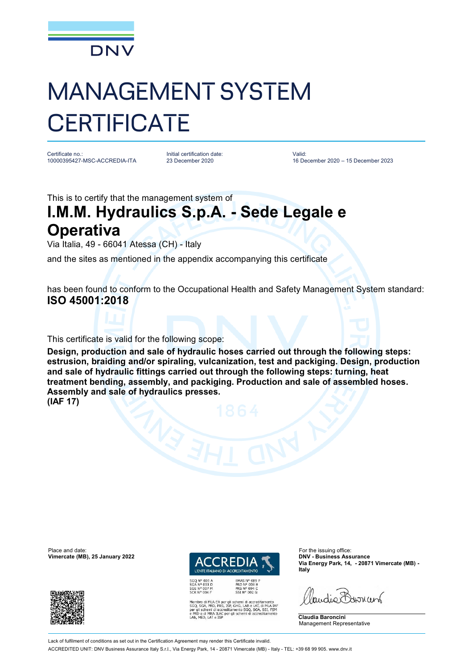

## MANAGEMENT SYSTEM **CERTIFICATE**

Certificate no.: 10000395427-MSC-ACCREDIA-ITA Initial certification date: 23 December 2020

Valid: 16 December 2020 – 15 December 2023

This is to certify that the management system of

## **I.M.M. Hydraulics S.p.A. - Sede Legale e Operativa**

Via Italia, 49 - 66041 Atessa (CH) - Italy

and the sites as mentioned in the appendix accompanying this certificate

has been found to conform to the Occupational Health and Safety Management System standard: **ISO 45001:2018**

This certificate is valid for the following scope:

**Design, production and sale of hydraulic hoses carried out through the following steps: estrusion, braiding and/or spiraling, vulcanization, test and packiging. Design, production and sale of hydraulic fittings carried out through the following steps: turning, heat treatment bending, assembly, and packiging. Production and sale of assembled hoses. Assembly and sale of hydraulics presses. (IAF 17)**

Place and date: For the issuing office:<br> **Place and date:** For the issuing office:<br> **Place and date:** For the issuing office:<br> **Place and date:** For the issuing office:





EMAS N° 009 P<br>PRD N° 003 B<br>PRS N° 094 C<br>SSI N° 002 G

di MLA EA per gli schemi di accreditamento<br>A, PRD, PRS, ISP, GHG, LAB e LAT, di MLA IAF<br>chemi di accreditamento SGQ, SGA, SSI, FSM<br>di MRA ILAC per gli schemi di accreditamento<br>D, LAT e ISP

**Via Energy Park, 14, - 20871 Vimercate (MB) - Italy**

audie Barnant

**Claudia Baroncini** Management Representative

Lack of fulfilment of conditions as set out in the Certification Agreement may render this Certificate invalid ACCREDITED UNIT: DNV Business Assurance Italy S.r.l., Via Energy Park, 14 - 20871 Vimercate (MB) - Italy - TEL: +39 68 99 905. [www.dnv.it](http://www.dnv.it)